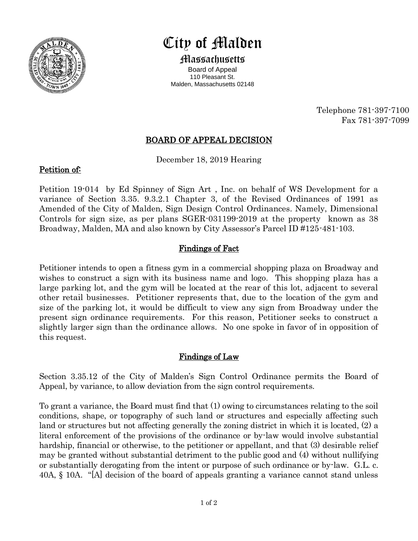

# City of Malden

Massachusetts Board of Appeal 110 Pleasant St. Malden, Massachusetts 02148

> Telephone 781-397-7100 Fax 781-397-7099

## BOARD OF APPEAL DECISION

December 18, 2019 Hearing

### Petition of:

Petition 19-014 by Ed Spinney of Sign Art , Inc. on behalf of WS Development for a variance of Section 3.35. 9.3.2.1 Chapter 3, of the Revised Ordinances of 1991 as Amended of the City of Malden, Sign Design Control Ordinances. Namely, Dimensional Controls for sign size, as per plans SGER-031199-2019 at the property known as 38 Broadway, Malden, MA and also known by City Assessor's Parcel ID #125-481-103.

### Findings of Fact

Petitioner intends to open a fitness gym in a commercial shopping plaza on Broadway and wishes to construct a sign with its business name and logo. This shopping plaza has a large parking lot, and the gym will be located at the rear of this lot, adjacent to several other retail businesses. Petitioner represents that, due to the location of the gym and size of the parking lot, it would be difficult to view any sign from Broadway under the present sign ordinance requirements. For this reason, Petitioner seeks to construct a slightly larger sign than the ordinance allows. No one spoke in favor of in opposition of this request.

#### Findings of Law

Section 3.35.12 of the City of Malden's Sign Control Ordinance permits the Board of Appeal, by variance, to allow deviation from the sign control requirements.

To grant a variance, the Board must find that (1) owing to circumstances relating to the soil conditions, shape, or topography of such land or structures and especially affecting such land or structures but not affecting generally the zoning district in which it is located, (2) a literal enforcement of the provisions of the ordinance or by-law would involve substantial hardship, financial or otherwise, to the petitioner or appellant, and that (3) desirable relief may be granted without substantial detriment to the public good and (4) without nullifying or substantially derogating from the intent or purpose of such ordinance or by-law. G.L. c. 40A, § 10A. "[A] decision of the board of appeals granting a variance cannot stand unless